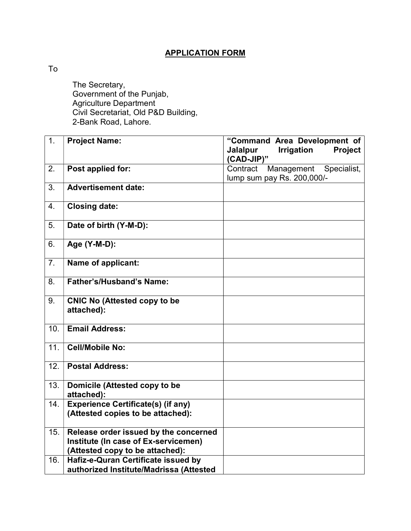## APPLICATION FORM

To

 The Secretary, Government of the Punjab, Agriculture Department Civil Secretariat, Old P&D Building, 2-Bank Road, Lahore.

| 1.  | <b>Project Name:</b>                                                           | "Command Area Development of<br><b>Irrigation</b><br>Project<br><b>Jalalpur</b><br>(CAD-JIP)" |
|-----|--------------------------------------------------------------------------------|-----------------------------------------------------------------------------------------------|
| 2.  | Post applied for:                                                              | Management Specialist,<br>Contract<br>lump sum pay Rs. 200,000/-                              |
| 3.  | <b>Advertisement date:</b>                                                     |                                                                                               |
| 4.  | <b>Closing date:</b>                                                           |                                                                                               |
| 5.  | Date of birth (Y-M-D):                                                         |                                                                                               |
| 6.  | Age (Y-M-D):                                                                   |                                                                                               |
| 7.  | Name of applicant:                                                             |                                                                                               |
| 8.  | Father's/Husband's Name:                                                       |                                                                                               |
| 9.  | <b>CNIC No (Attested copy to be</b><br>attached):                              |                                                                                               |
| 10. | <b>Email Address:</b>                                                          |                                                                                               |
| 11. | <b>Cell/Mobile No:</b>                                                         |                                                                                               |
| 12. | <b>Postal Address:</b>                                                         |                                                                                               |
| 13. | Domicile (Attested copy to be<br>attached):                                    |                                                                                               |
| 14. | <b>Experience Certificate(s) (if any)</b><br>(Attested copies to be attached): |                                                                                               |
| 15. | Release order issued by the concerned<br>Institute (In case of Ex-servicemen)  |                                                                                               |
|     | (Attested copy to be attached):                                                |                                                                                               |
| 16. | Hafiz-e-Quran Certificate issued by<br>authorized Institute/Madrissa (Attested |                                                                                               |